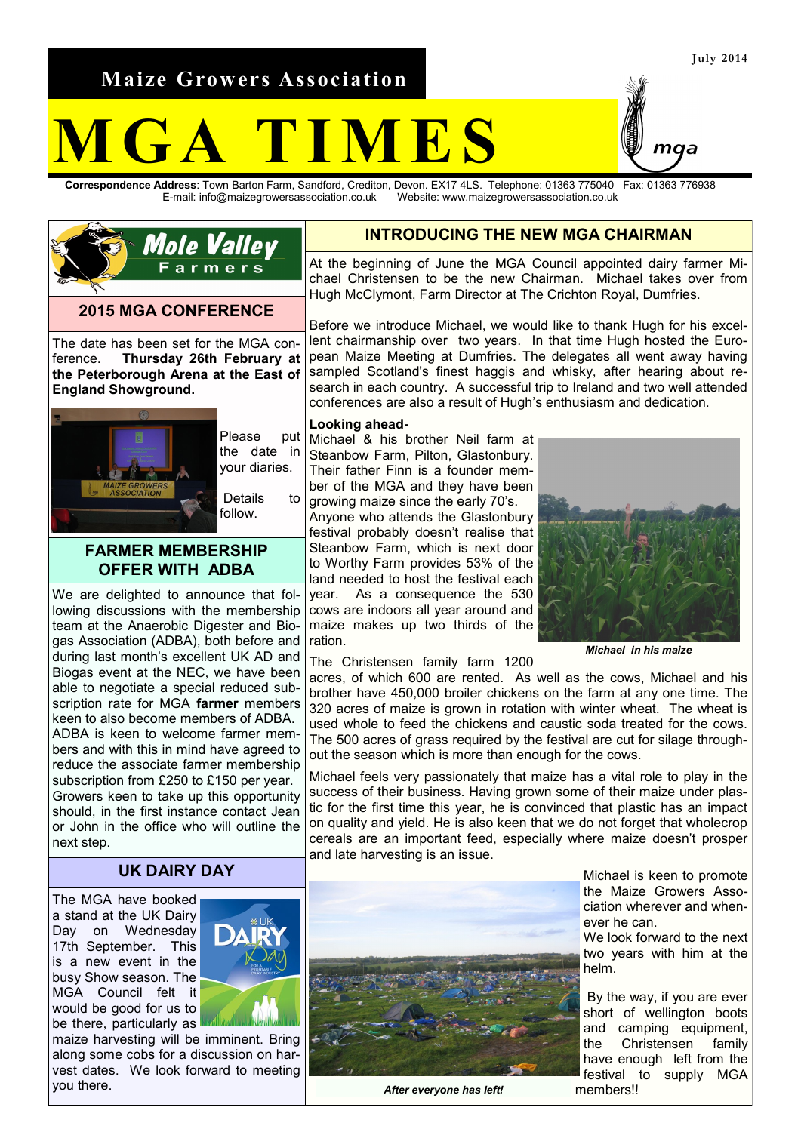**Maize Growers Association**

# **M G A T I M E S**

**Correspondence Address**: Town Barton Farm, Sandford, Crediton, Devon. EX17 4LS. Telephone: 01363 775040 Fax: 01363 776938 Website: www.maizegrowersassociation.co.uk



#### **2015 MGA CONFERENCE**

The date has been set for the MGA conference. **Thursday 26th February at the Peterborough Arena at the East of England Showground.**



Please put the date in your diaries.

Details to follow.

# **FARMER MEMBERSHIP OFFER WITH ADBA**

We are delighted to announce that following discussions with the membership team at the Anaerobic Digester and Biogas Association (ADBA), both before and during last month's excellent UK AD and Biogas event at the NEC, we have been able to negotiate a special reduced subscription rate for MGA **farmer** members keen to also become members of ADBA. ADBA is keen to welcome farmer members and with this in mind have agreed to reduce the associate farmer membership subscription from £250 to £150 per year. Growers keen to take up this opportunity should, in the first instance contact Jean or John in the office who will outline the next step.

## **UK DAIRY DAY**

The MGA have booked a stand at the UK Dairy Day on Wednesday 17th September. This is a new event in the busy Show season. The MGA Council felt it would be good for us to be there, particularly as



maize harvesting will be imminent. Bring along some cobs for a discussion on harvest dates. We look forward to meeting you there.

# **INTRODUCING THE NEW MGA CHAIRMAN**

At the beginning of June the MGA Council appointed dairy farmer Michael Christensen to be the new Chairman. Michael takes over from Hugh McClymont, Farm Director at The Crichton Royal, Dumfries.

Before we introduce Michael, we would like to thank Hugh for his excellent chairmanship over two years. In that time Hugh hosted the European Maize Meeting at Dumfries. The delegates all went away having sampled Scotland's finest haggis and whisky, after hearing about research in each country. A successful trip to Ireland and two well attended conferences are also a result of Hugh's enthusiasm and dedication.

#### **Looking ahead-**

Michael & his brother Neil farm at Steanbow Farm, Pilton, Glastonbury. Their father Finn is a founder member of the MGA and they have been growing maize since the early 70's.

Anyone who attends the Glastonbury festival probably doesn't realise that Steanbow Farm, which is next door to Worthy Farm provides 53% of the land needed to host the festival each year. As a consequence the 530 cows are indoors all year around and maize makes up two thirds of the ration.



*Michael in his maize*

The Christensen family farm 1200

acres, of which 600 are rented. As well as the cows, Michael and his brother have 450,000 broiler chickens on the farm at any one time. The 320 acres of maize is grown in rotation with winter wheat. The wheat is used whole to feed the chickens and caustic soda treated for the cows. The 500 acres of grass required by the festival are cut for silage throughout the season which is more than enough for the cows.

Michael feels very passionately that maize has a vital role to play in the success of their business. Having grown some of their maize under plastic for the first time this year, he is convinced that plastic has an impact on quality and yield. He is also keen that we do not forget that wholecrop cereals are an important feed, especially where maize doesn't prosper and late harvesting is an issue.



*After everyone has left!*

Michael is keen to promote the Maize Growers Association wherever and whenever he can.

We look forward to the next two years with him at the helm.

By the way, if you are ever short of wellington boots and camping equipment,<br>the Christensen family the Christensen have enough left from the festival to supply MGA members!!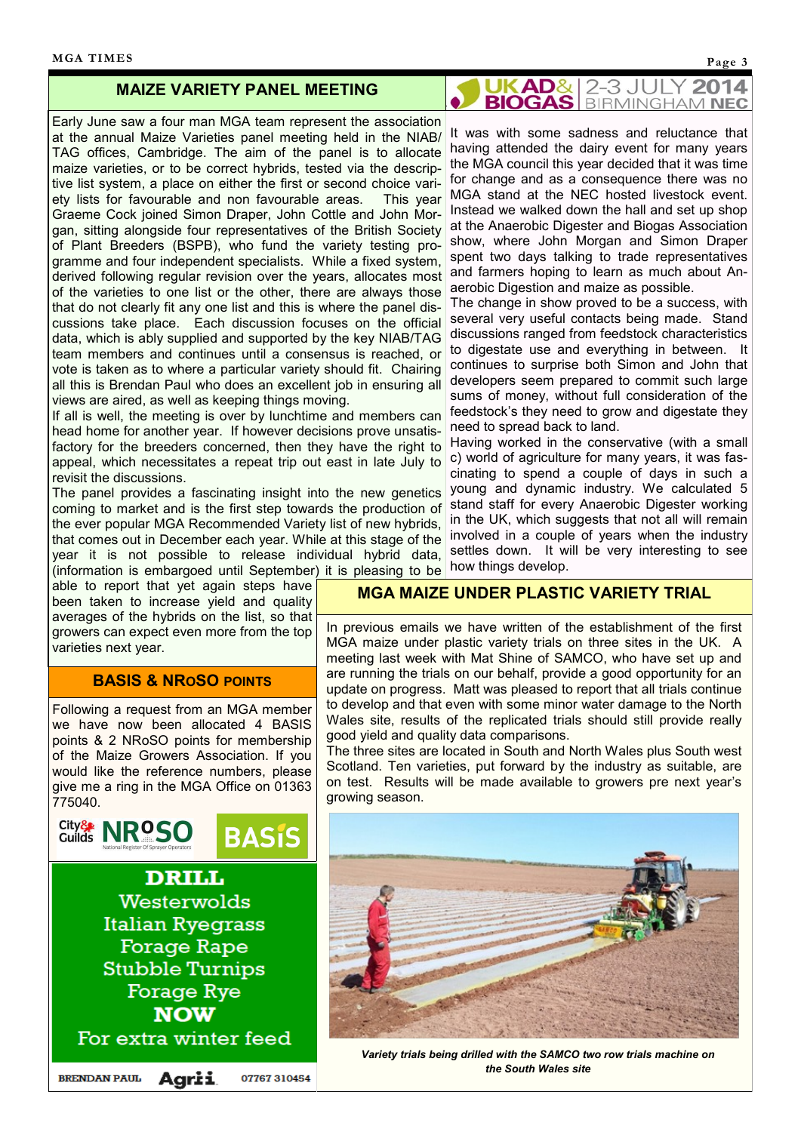### **MAIZE VARIETY PANEL MEETING**

Early June saw a four man MGA team represent the association at the annual Maize Varieties panel meeting held in the NIAB/ TAG offices, Cambridge. The aim of the panel is to allocate maize varieties, or to be correct hybrids, tested via the descriptive list system, a place on either the first or second choice variety lists for favourable and non favourable areas. This year Graeme Cock joined Simon Draper, John Cottle and John Morgan, sitting alongside four representatives of the British Society of Plant Breeders (BSPB), who fund the variety testing programme and four independent specialists. While a fixed system, derived following regular revision over the years, allocates most of the varieties to one list or the other, there are always those that do not clearly fit any one list and this is where the panel discussions take place. Each discussion focuses on the official data, which is ably supplied and supported by the key NIAB/TAG team members and continues until a consensus is reached, or vote is taken as to where a particular variety should fit. Chairing all this is Brendan Paul who does an excellent job in ensuring all views are aired, as well as keeping things moving.

If all is well, the meeting is over by lunchtime and members can head home for another year. If however decisions prove unsatisfactory for the breeders concerned, then they have the right to appeal, which necessitates a repeat trip out east in late July to revisit the discussions.

The panel provides a fascinating insight into the new genetics coming to market and is the first step towards the production of the ever popular MGA Recommended Variety list of new hybrids, that comes out in December each year. While at this stage of the year it is not possible to release individual hybrid data, (information is embargoed until September) it is pleasing to be

able to report that yet again steps have been taken to increase yield and quality averages of the hybrids on the list, so that growers can expect even more from the top varieties next year.

### **BASIS & NROSO POINTS**

Following a request from an MGA member we have now been allocated 4 BASIS points & 2 NRoSO points for membership of the Maize Growers Association. If you would like the reference numbers, please give me a ring in the MGA Office on 01363 775040.



**UKAD& 2-3 JULY 2014**<br>**BIOGAS** BIRMINGHAM NEC 2014

It was with some sadness and reluctance that having attended the dairy event for many years the MGA council this year decided that it was time for change and as a consequence there was no MGA stand at the NEC hosted livestock event. Instead we walked down the hall and set up shop at the Anaerobic Digester and Biogas Association show, where John Morgan and Simon Draper spent two days talking to trade representatives and farmers hoping to learn as much about Anaerobic Digestion and maize as possible.

The change in show proved to be a success, with several very useful contacts being made. Stand discussions ranged from feedstock characteristics to digestate use and everything in between. It continues to surprise both Simon and John that developers seem prepared to commit such large sums of money, without full consideration of the feedstock's they need to grow and digestate they need to spread back to land.

Having worked in the conservative (with a small c) world of agriculture for many years, it was fascinating to spend a couple of days in such a young and dynamic industry. We calculated 5 stand staff for every Anaerobic Digester working in the UK, which suggests that not all will remain involved in a couple of years when the industry settles down. It will be very interesting to see how things develop.

### **MGA MAIZE UNDER PLASTIC VARIETY TRIAL**

In previous emails we have written of the establishment of the first MGA maize under plastic variety trials on three sites in the UK. A meeting last week with Mat Shine of SAMCO, who have set up and are running the trials on our behalf, provide a good opportunity for an update on progress. Matt was pleased to report that all trials continue to develop and that even with some minor water damage to the North Wales site, results of the replicated trials should still provide really good yield and quality data comparisons.

The three sites are located in South and North Wales plus South west Scotland. Ten varieties, put forward by the industry as suitable, are on test. Results will be made available to growers pre next year's growing season.



*Variety trials being drilled with the SAMCO two row trials machine on the South Wales site*